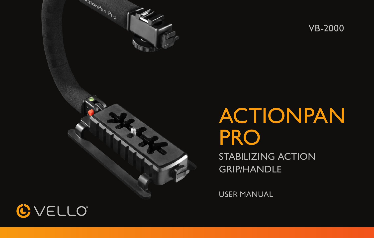



# ACTIONPAN **PRO**

STABILIZING ACTION GRIP/HANDLE

USER MANUAL

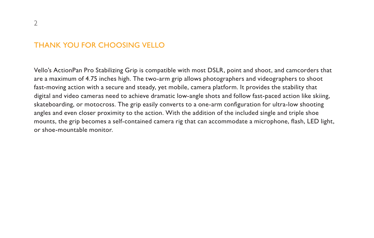### THANK YOU FOR CHOOSING VELLO

Vello's ActionPan Pro Stabilizing Grip is compatible with most DSLR, point and shoot, and camcorders that are a maximum of 4.75 inches high. The two-arm grip allows photographers and videographers to shoot fast-moving action with a secure and steady, yet mobile, camera platform. It provides the stability that digital and video cameras need to achieve dramatic low-angle shots and follow fast-paced action like skiing, skateboarding, or motocross. The grip easily converts to a one-arm configuration for ultra-low shooting angles and even closer proximity to the action. With the addition of the included single and triple shoe mounts, the grip becomes a self-contained camera rig that can accommodate a microphone, flash, LED light, or shoe-mountable monitor.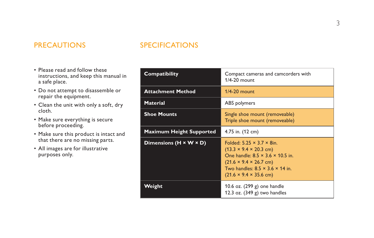# PRECAUTIONS SPECIFICATIONS

- Please read and follow these instructions, and keep this manual in a safe place.
- Do not attempt to disassemble or repair the equipment.
- Clean the unit with only a soft, dry cloth.
- Make sure everything is secure before proceeding.
- Make sure this product is intact and that there are no missing parts.
- All images are for illustrative purposes only.

| Compatibility                   | Compact cameras and camcorders with<br>$1/4 - 20$ mount.                                                                                                                                                                                                |
|---------------------------------|---------------------------------------------------------------------------------------------------------------------------------------------------------------------------------------------------------------------------------------------------------|
| <b>Attachment Method</b>        | $1/4 - 20$ mount                                                                                                                                                                                                                                        |
| <b>Material</b>                 | ABS polymers                                                                                                                                                                                                                                            |
| <b>Shoe Mounts</b>              | Single shoe mount (removeable)<br>Triple shoe mount (removeable)                                                                                                                                                                                        |
| <b>Maximum Height Supported</b> | 4.75 in. (12 cm)                                                                                                                                                                                                                                        |
| Dimensions (H × W × D)          | Folded: $5.25 \times 3.7 \times 8$ in.<br>$(13.3 \times 9.4 \times 20.3$ cm)<br>One handle: $8.5 \times 3.6 \times 10.5$ in.<br>$(21.6 \times 9.4 \times 26.7$ cm)<br>Two handles: $8.5 \times 3.6 \times 14$ in.<br>$(21.6 \times 9.4 \times 35.6$ cm) |
| Weight                          | 10.6 oz. (299 g) one handle<br>12.3 oz. $(349 g)$ two handles                                                                                                                                                                                           |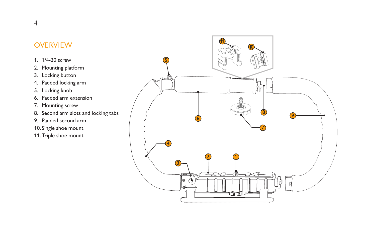# **OVERVIEW**

- 1. 1/4-20 screw
- 2. Mounting platform
- 3. Locking button
- 4. Padded locking arm
- 5. Locking knob
- 6. Padded arm extension
- 7. Mounting screw
- 8. Second arm slots and locking tabs
- 9. Padded second arm
- 10. Single shoe mount
- 11.Triple shoe mount

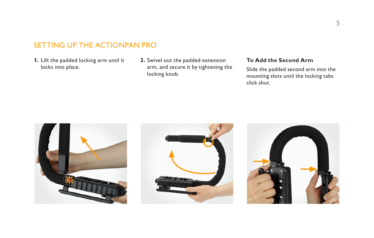# SETTING UP THE ACTIONPAN PRO

- **1.** Lift the padded locking arm until it locks into place.
- **2.** Swivel out the padded extension arm, and secure it by tightening the locking knob.

#### **To Add the Second Arm**

Slide the padded second arm into the mounting slots until the locking tabs click shut.





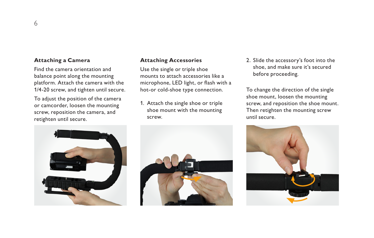#### **Attaching a Camera**

Find the camera orientation and balance point along the mounting platform. Attach the camera with the 1/4-20 screw, and tighten until secure.

To adjust the position of the camera or camcorder, loosen the mounting screw, reposition the camera, and retighten until secure.

#### **Attaching Accessories**

Use the single or triple shoe mounts to attach accessories like a microphone, LED light, or flash with a hot-or cold-shoe type connection.

1. Attach the single shoe or triple shoe mount with the mounting screw.

2. Slide the accessory's foot into the shoe, and make sure it's secured before proceeding.

To change the direction of the single shoe mount, loosen the mounting screw, and reposition the shoe mount. Then retighten the mounting screw until secure.







6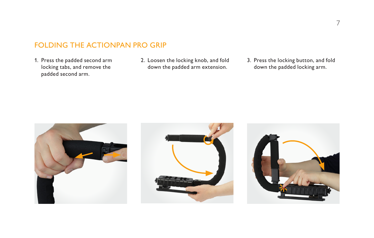# FOLDING THE ACTIONPAN PRO GRIP

1. Press the padded second arm locking tabs, and remove the padded second arm.

- 2. Loosen the locking knob, and fold down the padded arm extension.
- 3. Press the locking button, and fold down the padded locking arm.